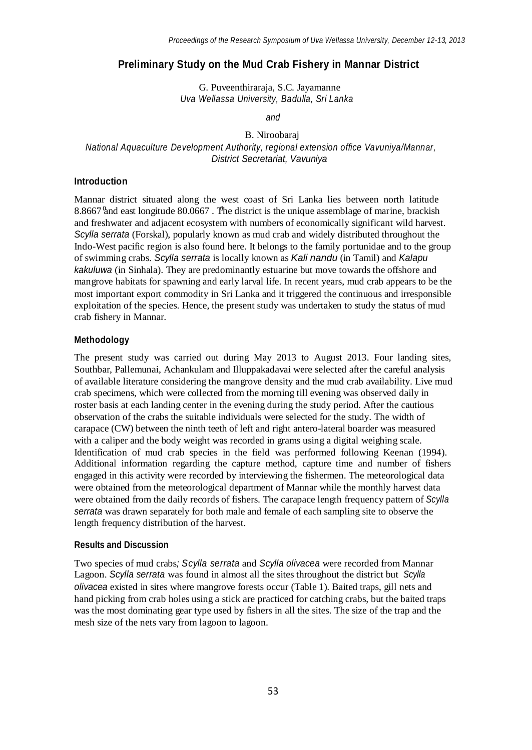# **Preliminary Study on the Mud Crab Fishery in Mannar District**

G. Puveenthiraraja, S.C. Jayamanne *Uva Wellassa University, Badulla, Sri Lanka*

*and*

B. Niroobaraj *National Aquaculture Development Authority, regional extension office Vavuniya/Mannar, District Secretariat, Vavuniya*

## **Introduction**

8.8667 and east longitude 80.0667. The district is the unique assemblage of marine, brackish Mannar district situated along the west coast of Sri Lanka lies between north latitude and freshwater and adjacent ecosystem with numbers of economically significant wild harvest. *Scylla serrata* (Forskal), popularly known as mud crab and widely distributed throughout the Indo-West pacific region is also found here. It belongs to the family portunidae and to the group of swimming crabs. *Scylla serrata* is locally known as *Kali nandu* (in Tamil) and *Kalapu kakuluwa* (in Sinhala). They are predominantly estuarine but move towards the offshore and mangrove habitats for spawning and early larval life. In recent years, mud crab appears to be the most important export commodity in Sri Lanka and it triggered the continuous and irresponsible exploitation of the species. Hence, the present study was undertaken to study the status of mud crab fishery in Mannar.

## **Methodology**

The present study was carried out during May 2013 to August 2013. Four landing sites, Southbar, Pallemunai, Achankulam and Illuppakadavai were selected after the careful analysis of available literature considering the mangrove density and the mud crab availability. Live mud crab specimens, which were collected from the morning till evening was observed daily in roster basis at each landing center in the evening during the study period. After the cautious observation of the crabs the suitable individuals were selected for the study. The width of carapace (CW) between the ninth teeth of left and right antero-lateral boarder was measured with a caliper and the body weight was recorded in grams using a digital weighing scale. Identification of mud crab species in the field was performed following Keenan (1994). Additional information regarding the capture method, capture time and number of fishers engaged in this activity were recorded by interviewing the fishermen. The meteorological data were obtained from the meteorological department of Mannar while the monthly harvest data were obtained from the daily records of fishers. The carapace length frequency pattern of *Scylla serrata* was drawn separately for both male and female of each sampling site to observe the length frequency distribution of the harvest.

### **Results and Discussion**

Two species of mud crabs*; Scylla serrata* and *Scylla olivacea* were recorded from Mannar Lagoon. *Scylla serrata* was found in almost all the sites throughout the district but *Scylla olivacea* existed in sites where mangrove forests occur (Table 1). Baited traps, gill nets and hand picking from crab holes using a stick are practiced for catching crabs, but the baited traps was the most dominating gear type used by fishers in all the sites. The size of the trap and the mesh size of the nets vary from lagoon to lagoon.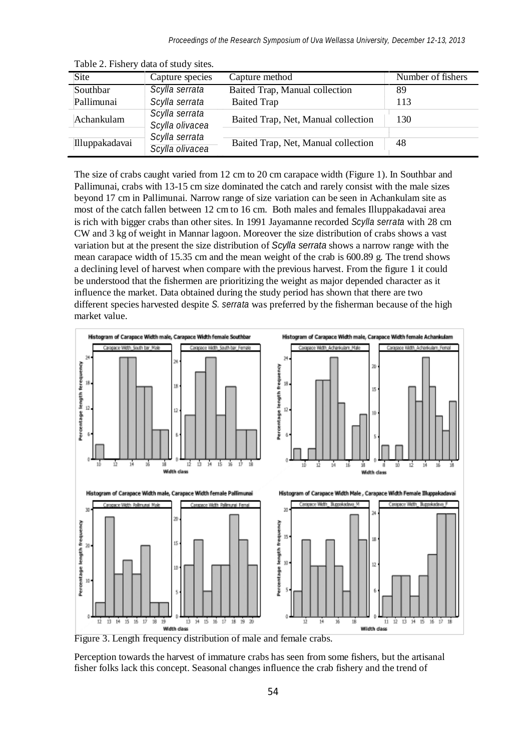| <b>Site</b>    | Capture species                   | Capture method                      | Number of fishers |
|----------------|-----------------------------------|-------------------------------------|-------------------|
| Southbar       | Scylla serrata                    | Baited Trap, Manual collection      | 89                |
| Pallimunai     | Scylla serrata                    | <b>Baited Trap</b>                  | 113               |
| Achankulam     | Scylla serrata<br>Scylla olivacea | Baited Trap, Net, Manual collection | 130               |
| Illuppakadavai | Scylla serrata<br>Scylla olivacea | Baited Trap, Net, Manual collection | 48                |

Table 2. Fishery data of study sites.

The size of crabs caught varied from 12 cm to 20 cm carapace width (Figure 1). In Southbar and Pallimunai, crabs with 13-15 cm size dominated the catch and rarely consist with the male sizes beyond 17 cm in Pallimunai. Narrow range of size variation can be seen in Achankulam site as most of the catch fallen between 12 cm to 16 cm. Both males and females Illuppakadavai area is rich with bigger crabs than other sites. In 1991 Jayamanne recorded *Scylla serrata* with 28 cm CW and 3 kg of weight in Mannar lagoon. Moreover the size distribution of crabs shows a vast variation but at the present the size distribution of *Scylla serrata* shows a narrow range with the mean carapace width of 15.35 cm and the mean weight of the crab is 600.89 g. The trend shows a declining level of harvest when compare with the previous harvest. From the figure 1 it could be understood that the fishermen are prioritizing the weight as major depended character as it influence the market. Data obtained during the study period has shown that there are two different species harvested despite *S. serrata* was preferred by the fisherman because of the high market value.



Figure 3. Length frequency distribution of male and female crabs.

Perception towards the harvest of immature crabs has seen from some fishers, but the artisanal fisher folks lack this concept. Seasonal changes influence the crab fishery and the trend of